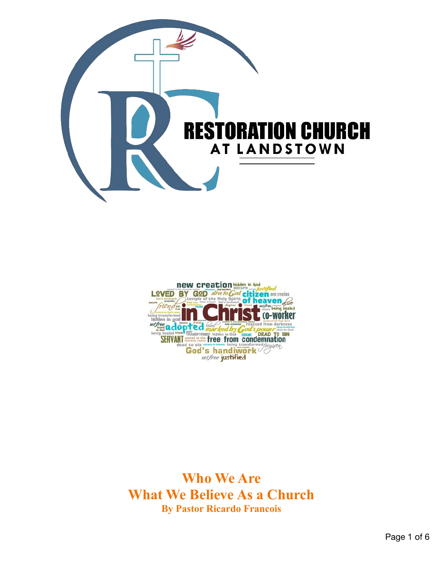



**Who We Are What We Believe As a Church By Pastor Ricardo Francois**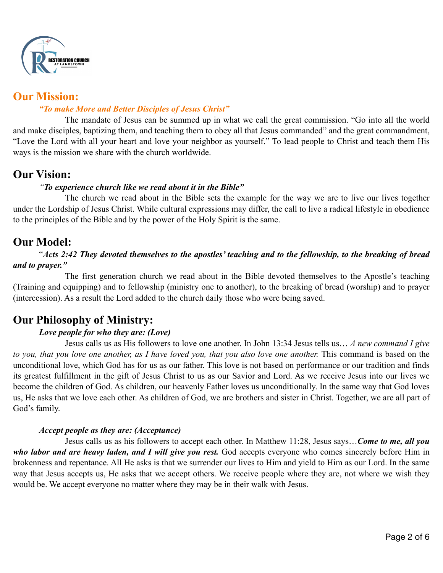

# **Our Mission:**

## *"To make More and Better Disciples of Jesus Christ"*

The mandate of Jesus can be summed up in what we call the great commission. "Go into all the world and make disciples, baptizing them, and teaching them to obey all that Jesus commanded" and the great commandment, "Love the Lord with all your heart and love your neighbor as yourself." To lead people to Christ and teach them His ways is the mission we share with the church worldwide.

# **Our Vision:**

## *"To experience church like we read about it in the Bible"*

The church we read about in the Bible sets the example for the way we are to live our lives together under the Lordship of Jesus Christ. While cultural expressions may differ, the call to live a radical lifestyle in obedience to the principles of the Bible and by the power of the Holy Spirit is the same.

# **Our Model:**

## "*Acts 2:42 They devoted themselves to the apostles' teaching and to the fellowship, to the breaking of bread and to prayer."*

The first generation church we read about in the Bible devoted themselves to the Apostle's teaching (Training and equipping) and to fellowship (ministry one to another), to the breaking of bread (worship) and to prayer (intercession). As a result the Lord added to the church daily those who were being saved.

# **Our Philosophy of Ministry:**

## *Love people for who they are: (Love)*

Jesus calls us as His followers to love one another. In John 13:34 Jesus tells us… *A new command I give*  to you, that you love one another, as I have loved you, that you also love one another. This command is based on the unconditional love, which God has for us as our father. This love is not based on performance or our tradition and finds its greatest fulfillment in the gift of Jesus Christ to us as our Savior and Lord. As we receive Jesus into our lives we become the children of God. As children, our heavenly Father loves us unconditionally. In the same way that God loves us, He asks that we love each other. As children of God, we are brothers and sister in Christ. Together, we are all part of God's family.

#### *Accept people as they are: (Acceptance)*

Jesus calls us as his followers to accept each other. In Matthew 11:28, Jesus says…*Come to me, all you*  who labor and are heavy laden, and I will give you rest. God accepts everyone who comes sincerely before Him in brokenness and repentance. All He asks is that we surrender our lives to Him and yield to Him as our Lord. In the same way that Jesus accepts us, He asks that we accept others. We receive people where they are, not where we wish they would be. We accept everyone no matter where they may be in their walk with Jesus.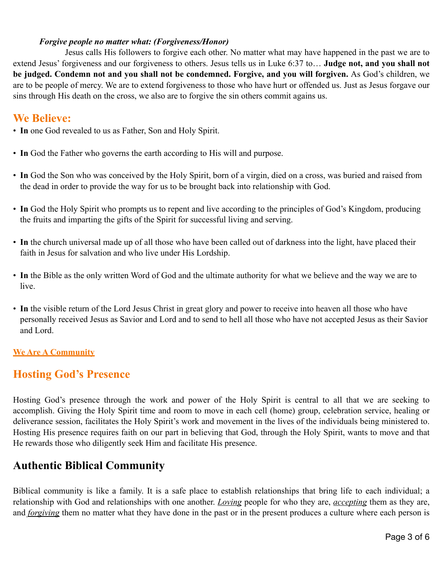#### *Forgive people no matter what: (Forgiveness/Honor)*

Jesus calls His followers to forgive each other. No matter what may have happened in the past we are to extend Jesus' forgiveness and our forgiveness to others. Jesus tells us in Luke 6:37 to… **Judge not, and you shall not be judged. Condemn not and you shall not be condemned. Forgive, and you will forgiven.** As God's children, we are to be people of mercy. We are to extend forgiveness to those who have hurt or offended us. Just as Jesus forgave our sins through His death on the cross, we also are to forgive the sin others commit agains us.

# **We Believe:**

- **In** one God revealed to us as Father, Son and Holy Spirit.
- **In** God the Father who governs the earth according to His will and purpose.
- **In** God the Son who was conceived by the Holy Spirit, born of a virgin, died on a cross, was buried and raised from the dead in order to provide the way for us to be brought back into relationship with God.
- **In** God the Holy Spirit who prompts us to repent and live according to the principles of God's Kingdom, producing the fruits and imparting the gifts of the Spirit for successful living and serving.
- **In** the church universal made up of all those who have been called out of darkness into the light, have placed their faith in Jesus for salvation and who live under His Lordship.
- **In** the Bible as the only written Word of God and the ultimate authority for what we believe and the way we are to live.
- **In** the visible return of the Lord Jesus Christ in great glory and power to receive into heaven all those who have personally received Jesus as Savior and Lord and to send to hell all those who have not accepted Jesus as their Savior and Lord.

## **We Are A Community**

# **Hosting God's Presence**

Hosting God's presence through the work and power of the Holy Spirit is central to all that we are seeking to accomplish. Giving the Holy Spirit time and room to move in each cell (home) group, celebration service, healing or deliverance session, facilitates the Holy Spirit's work and movement in the lives of the individuals being ministered to. Hosting His presence requires faith on our part in believing that God, through the Holy Spirit, wants to move and that He rewards those who diligently seek Him and facilitate His presence.

# **Authentic Biblical Community**

Biblical community is like a family. It is a safe place to establish relationships that bring life to each individual; a relationship with God and relationships with one another. *Loving* people for who they are, *accepting* them as they are, and *forgiving* them no matter what they have done in the past or in the present produces a culture where each person is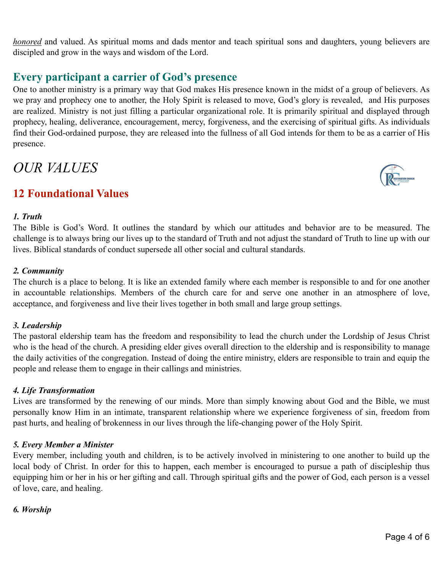*honored* and valued. As spiritual moms and dads mentor and teach spiritual sons and daughters, young believers are discipled and grow in the ways and wisdom of the Lord.

# **Every participant a carrier of God's presence**

One to another ministry is a primary way that God makes His presence known in the midst of a group of believers. As we pray and prophecy one to another, the Holy Spirit is released to move, God's glory is revealed, and His purposes are realized. Ministry is not just filling a particular organizational role. It is primarily spiritual and displayed through prophecy, healing, deliverance, encouragement, mercy, forgiveness, and the exercising of spiritual gifts. As individuals find their God-ordained purpose, they are released into the fullness of all God intends for them to be as a carrier of His presence.

# *OUR VALUES*

# **12 Foundational Values**

#### *1. Truth*

The Bible is God's Word. It outlines the standard by which our attitudes and behavior are to be measured. The challenge is to always bring our lives up to the standard of Truth and not adjust the standard of Truth to line up with our lives. Biblical standards of conduct supersede all other social and cultural standards.

#### *2. Community*

The church is a place to belong. It is like an extended family where each member is responsible to and for one another in accountable relationships. Members of the church care for and serve one another in an atmosphere of love, acceptance, and forgiveness and live their lives together in both small and large group settings.

#### *3. Leadership*

The pastoral eldership team has the freedom and responsibility to lead the church under the Lordship of Jesus Christ who is the head of the church. A presiding elder gives overall direction to the eldership and is responsibility to manage the daily activities of the congregation. Instead of doing the entire ministry, elders are responsible to train and equip the people and release them to engage in their callings and ministries.

#### *4. Life Transformation*

Lives are transformed by the renewing of our minds. More than simply knowing about God and the Bible, we must personally know Him in an intimate, transparent relationship where we experience forgiveness of sin, freedom from past hurts, and healing of brokenness in our lives through the life-changing power of the Holy Spirit.

#### *5. Every Member a Minister*

Every member, including youth and children, is to be actively involved in ministering to one another to build up the local body of Christ. In order for this to happen, each member is encouraged to pursue a path of discipleship thus equipping him or her in his or her gifting and call. Through spiritual gifts and the power of God, each person is a vessel of love, care, and healing.

#### *6. Worship*

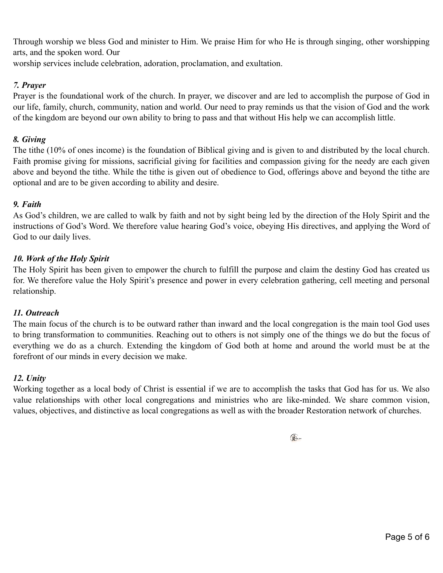Through worship we bless God and minister to Him. We praise Him for who He is through singing, other worshipping arts, and the spoken word. Our

worship services include celebration, adoration, proclamation, and exultation.

## *7. Prayer*

Prayer is the foundational work of the church. In prayer, we discover and are led to accomplish the purpose of God in our life, family, church, community, nation and world. Our need to pray reminds us that the vision of God and the work of the kingdom are beyond our own ability to bring to pass and that without His help we can accomplish little.

# *8. Giving*

The tithe (10% of ones income) is the foundation of Biblical giving and is given to and distributed by the local church. Faith promise giving for missions, sacrificial giving for facilities and compassion giving for the needy are each given above and beyond the tithe. While the tithe is given out of obedience to God, offerings above and beyond the tithe are optional and are to be given according to ability and desire.

# *9. Faith*

As God's children, we are called to walk by faith and not by sight being led by the direction of the Holy Spirit and the instructions of God's Word. We therefore value hearing God's voice, obeying His directives, and applying the Word of God to our daily lives.

# *10. Work of the Holy Spirit*

The Holy Spirit has been given to empower the church to fulfill the purpose and claim the destiny God has created us for. We therefore value the Holy Spirit's presence and power in every celebration gathering, cell meeting and personal relationship.

## *11. Outreach*

The main focus of the church is to be outward rather than inward and the local congregation is the main tool God uses to bring transformation to communities. Reaching out to others is not simply one of the things we do but the focus of everything we do as a church. Extending the kingdom of God both at home and around the world must be at the forefront of our minds in every decision we make.

## *12. Unity*

Working together as a local body of Christ is essential if we are to accomplish the tasks that God has for us. We also value relationships with other local congregations and ministries who are like-minded. We share common vision, values, objectives, and distinctive as local congregations as well as with the broader Restoration network of churches.

 $\mathbb{F}$